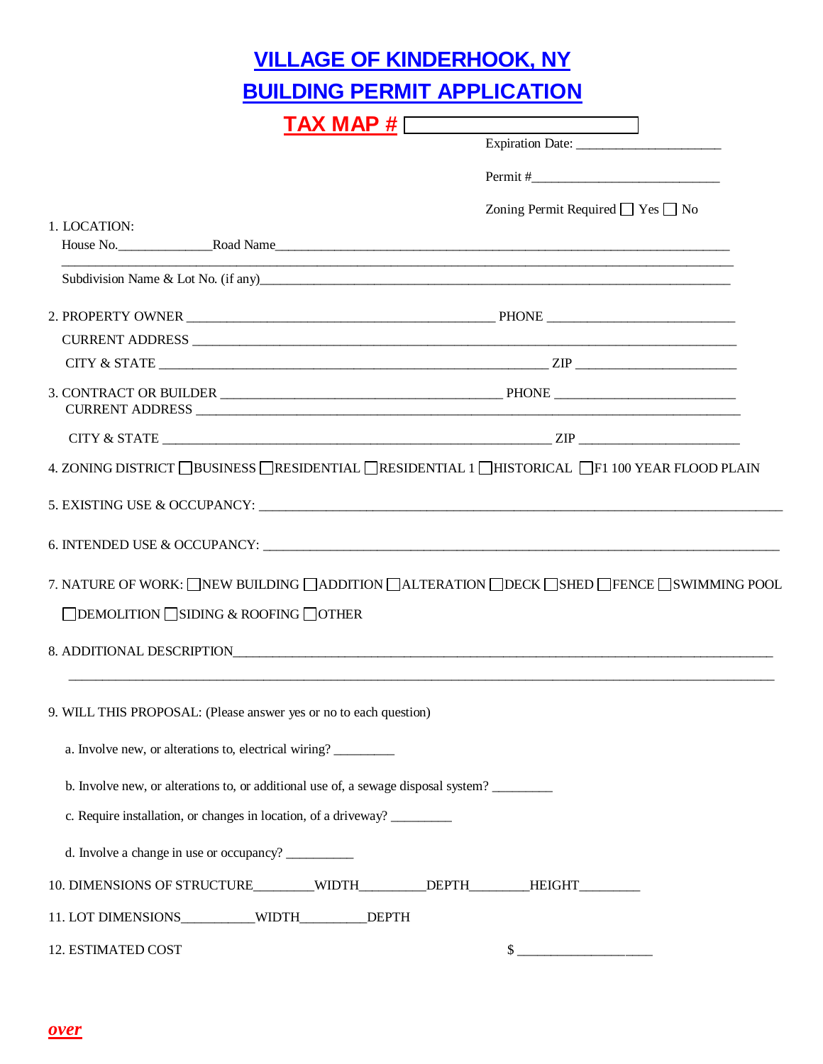|                                                                                    | <u>VILLAGE OF KINDERHOOK, NY</u>                                                                |
|------------------------------------------------------------------------------------|-------------------------------------------------------------------------------------------------|
|                                                                                    | <b>BUILDING PERMIT APPLICATION</b>                                                              |
| $TAX \tMAP \t#$                                                                    |                                                                                                 |
|                                                                                    | Expiration Date:                                                                                |
|                                                                                    | $Permit \#$                                                                                     |
|                                                                                    | Zoning Permit Required $\Box$ Yes $\Box$ No                                                     |
| 1. LOCATION:                                                                       |                                                                                                 |
|                                                                                    |                                                                                                 |
|                                                                                    |                                                                                                 |
|                                                                                    |                                                                                                 |
|                                                                                    |                                                                                                 |
|                                                                                    | CITY & STATE $\_\_\_\_\_\_\_\_\_$ $\_\_\_\_\_\_$                                                |
|                                                                                    |                                                                                                 |
|                                                                                    |                                                                                                 |
|                                                                                    | 4. ZONING DISTRICT <b>BUSINESS</b> RESIDENTIAL RESIDENTIAL 1 HISTORICAL F1 100 YEAR FLOOD PLAIN |
|                                                                                    |                                                                                                 |
|                                                                                    |                                                                                                 |
|                                                                                    | 7. NATURE OF WORK: NEW BUILDING ADDITION ALTERATION DECK SHED PENCE SWIMMING POOL               |
| $\Box$ DEMOLITION $\Box$ SIDING & ROOFING $\Box$ OTHER                             |                                                                                                 |
| 8. ADDITIONAL DESCRIPTION                                                          |                                                                                                 |
| 9. WILL THIS PROPOSAL: (Please answer yes or no to each question)                  |                                                                                                 |
| a. Involve new, or alterations to, electrical wiring?                              |                                                                                                 |
| b. Involve new, or alterations to, or additional use of, a sewage disposal system? |                                                                                                 |
| c. Require installation, or changes in location, of a driveway?                    |                                                                                                 |
| d. Involve a change in use or occupancy?                                           |                                                                                                 |
| 10. DIMENSIONS OF STRUCTURE_______WIDTH________DEPTH_______HEIGHT_______           |                                                                                                 |
| 11. LOT DIMENSIONS__________WIDTH_________DEPTH                                    |                                                                                                 |
| 12. ESTIMATED COST                                                                 | $\frac{1}{2}$                                                                                   |